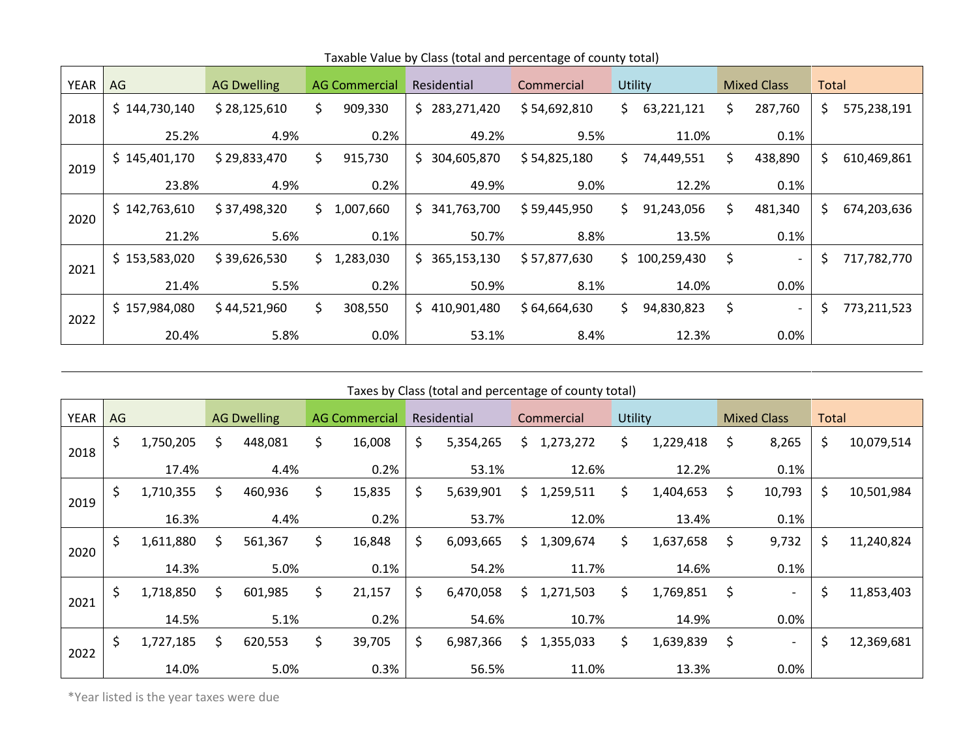| YEAR | AG            | <b>AG Dwelling</b> |      | <b>AG Commercial</b> | Residential |               | Commercial   | Utility |               | <b>Mixed Class</b> |                              | Total |             |
|------|---------------|--------------------|------|----------------------|-------------|---------------|--------------|---------|---------------|--------------------|------------------------------|-------|-------------|
| 2018 | \$144,730,140 | \$28,125,610       | \$.  | 909,330              |             | \$283,271,420 | \$54,692,810 | \$.     | 63,221,121    | S.                 | 287,760                      | \$.   | 575,238,191 |
|      | 25.2%         | 4.9%               |      | 0.2%                 |             | 49.2%         | 9.5%         |         | 11.0%         |                    | 0.1%                         |       |             |
| 2019 | \$145,401,170 | \$29,833,470       | \$   | 915,730              |             | \$304,605,870 | \$54,825,180 | S.      | 74,449,551    | \$.                | 438,890                      | \$.   | 610,469,861 |
|      | 23.8%         | 4.9%               | 0.2% |                      |             | 49.9%         | 9.0%         |         | 12.2%         |                    | 0.1%                         |       |             |
| 2020 | \$142,763,610 | \$37,498,320       |      | \$1,007,660          |             | \$341,763,700 | \$59,445,950 | \$.     | 91,243,056    | S.                 | 481,340                      | \$.   | 674,203,636 |
|      | 21.2%         | 5.6%               |      | 0.1%                 |             | 50.7%         | 8.8%         |         | 13.5%         |                    | 0.1%                         |       |             |
| 2021 | \$153,583,020 | \$39,626,530       |      | \$1,283,030          |             | \$365,153,130 | \$57,877,630 |         | \$100,259,430 | \$                 | $\qquad \qquad \blacksquare$ | S.    | 717,782,770 |
|      | 21.4%         | 5.5%               |      | 0.2%                 |             | 50.9%         | 8.1%         |         | 14.0%         |                    | 0.0%                         |       |             |
| 2022 | \$157,984,080 | \$44,521,960       | \$   | 308,550              |             | \$410,901,480 | \$64,664,630 | \$.     | 94,830,823    | \$                 | $\overline{\phantom{0}}$     | \$    | 773,211,523 |
|      | 20.4%         | 5.8%               |      | 0.0%                 |             | 53.1%         | 8.4%         |         | 12.3%         |                    | 0.0%                         |       |             |

Taxable Value by Class (total and percentage of county total)

| Taxes by Class (total and percentage of county total) |    |           |                    |         |                      |        |             |           |            |           |         |           |                    |                          |       |            |
|-------------------------------------------------------|----|-----------|--------------------|---------|----------------------|--------|-------------|-----------|------------|-----------|---------|-----------|--------------------|--------------------------|-------|------------|
| <b>YEAR</b>                                           | AG |           | <b>AG Dwelling</b> |         | <b>AG Commercial</b> |        | Residential |           | Commercial |           | Utility |           | <b>Mixed Class</b> |                          | Total |            |
| 2018                                                  | \$ | 1,750,205 | \$                 | 448,081 | \$                   | 16,008 | \$          | 5,354,265 | \$.        | 1,273,272 | \$      | 1,229,418 | \$                 | 8,265                    | \$    | 10,079,514 |
|                                                       |    | 17.4%     |                    | 4.4%    |                      | 0.2%   |             | 53.1%     |            | 12.6%     |         | 12.2%     |                    | 0.1%                     |       |            |
| 2019                                                  | \$ | 1,710,355 | \$.                | 460,936 | \$                   | 15,835 | \$          | 5,639,901 | \$.        | 1,259,511 | \$.     | 1,404,653 | \$                 | 10,793                   | \$    | 10,501,984 |
|                                                       |    | 16.3%     |                    | 4.4%    |                      | 0.2%   |             | 53.7%     |            | 12.0%     |         | 13.4%     |                    | 0.1%                     |       |            |
| 2020                                                  | \$ | 1,611,880 | \$.                | 561,367 | \$                   | 16,848 | \$          | 6,093,665 | \$.        | 1,309,674 | \$.     | 1,637,658 | \$                 | 9,732                    | \$    | 11,240,824 |
|                                                       |    | 14.3%     |                    | 5.0%    |                      | 0.1%   |             | 54.2%     |            | 11.7%     |         | 14.6%     |                    | 0.1%                     |       |            |
| 2021                                                  | \$ | 1,718,850 | \$.                | 601,985 | \$                   | 21,157 | \$          | 6,470,058 | \$.        | 1,271,503 | \$.     | 1,769,851 | \$                 | $\overline{\phantom{a}}$ | \$    | 11,853,403 |
|                                                       |    | 14.5%     |                    | 5.1%    |                      | 0.2%   |             | 54.6%     |            | 10.7%     |         | 14.9%     |                    | 0.0%                     |       |            |
| 2022                                                  | \$ | 1,727,185 | \$                 | 620,553 | \$                   | 39,705 | \$          | 6,987,366 | \$.        | 1,355,033 | \$      | 1,639,839 | \$                 | $\overline{\phantom{a}}$ | \$    | 12,369,681 |
|                                                       |    | 14.0%     |                    | 5.0%    |                      | 0.3%   |             | 56.5%     |            | 11.0%     |         | 13.3%     |                    | 0.0%                     |       |            |

\*Year listed is the year taxes were due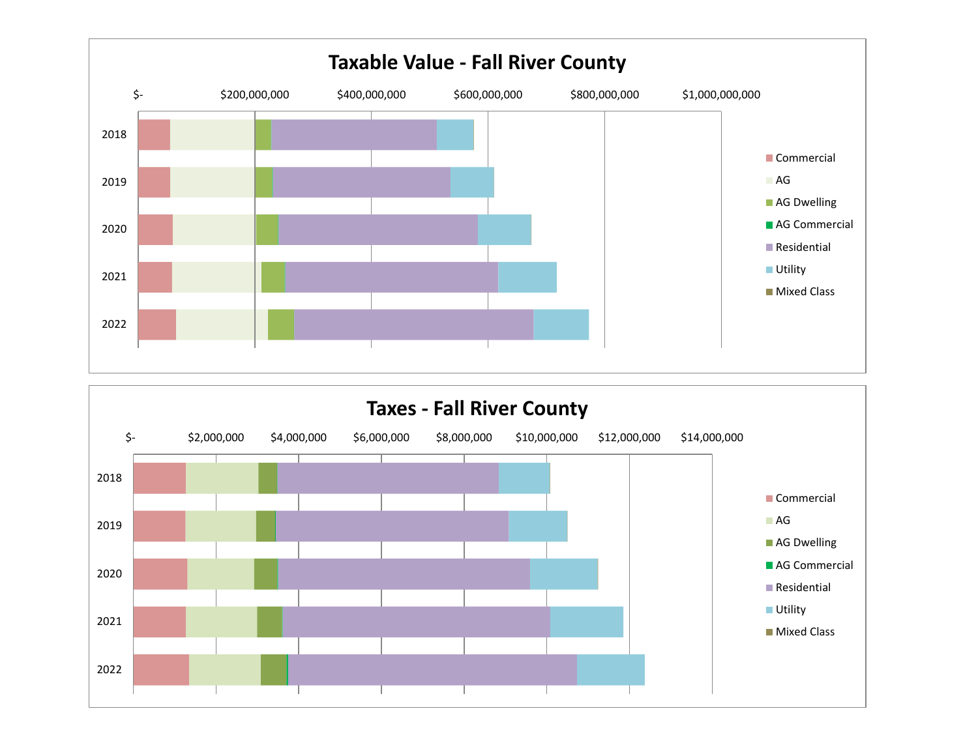

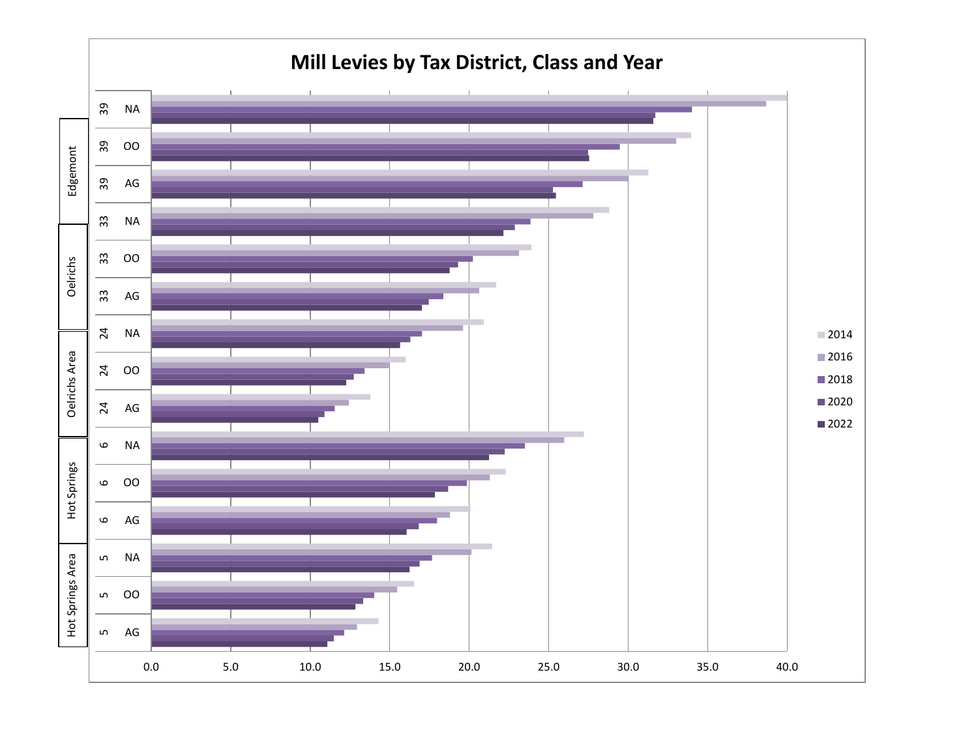